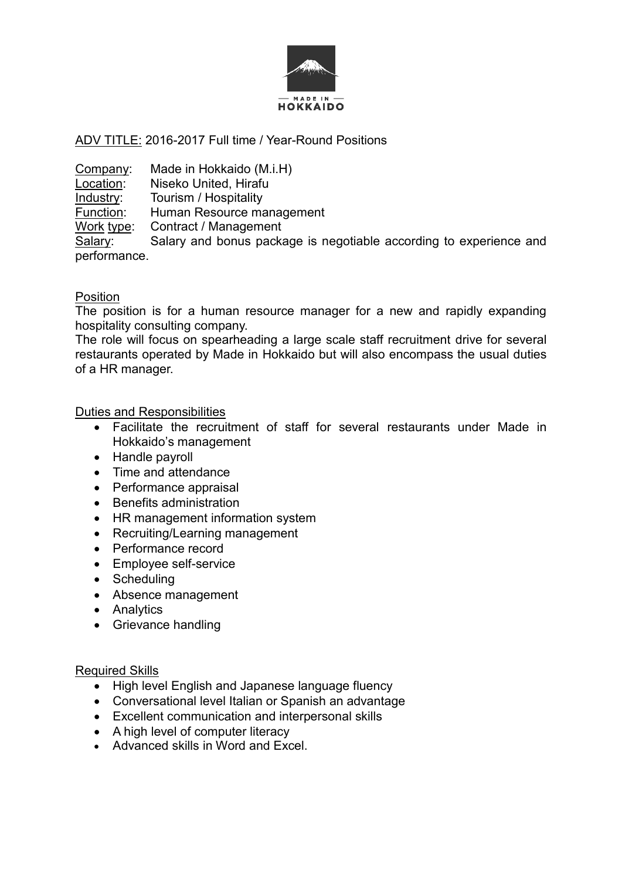

# ADV TITLE: 2016-2017 Full time / Year-Round Positions

Company: Made in Hokkaido (M.i.H)<br>Location: Niseko United, Hirafu Niseko United, Hirafu **Industry:** Tourism / Hospitality<br>Function: Human Resource ma Human Resource management Work type: Contract / Management Salary: Salary and bonus package is negotiable according to experience and performance.

# Position

The position is for a human resource manager for a new and rapidly expanding hospitality consulting company.

The role will focus on spearheading a large scale staff recruitment drive for several restaurants operated by Made in Hokkaido but will also encompass the usual duties of a HR manager.

## Duties and Responsibilities

- Facilitate the recruitment of staff for several restaurants under Made in Hokkaido's management
- Handle payroll
- Time and attendance
- Performance appraisal
- Benefits administration
- HR management information system
- Recruiting/Learning management
- Performance record
- Employee self-service
- Scheduling
- Absence management
- Analytics
- Grievance handling

# Required Skills

- High level English and Japanese language fluency
- Conversational level Italian or Spanish an advantage
- Excellent communication and interpersonal skills
- A high level of computer literacy
- Advanced skills in Word and Excel.